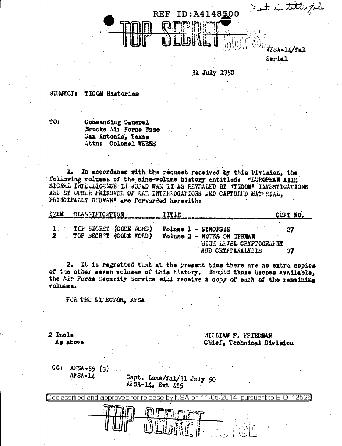

Serial

31 July 1950

SUBJECT: TXCOM Histories

TO1

Commanding General Brooks Air Force Base San Antonio. Texas Attn: Colonel WEEKS

1. In accordance with the request received by this Division, the following volumes of the nine-volume history entitled: "EUROPEAN AYIS SIGRAL INTELLIGENCE IN WORLD WAR II AS REVEALED BY "TIOOM" INVESTIGATIONS AND BY OTHER PRISONER OF WAR INTERFOGATIONS AND CAPTURED MATERIAL, PRINCIPALLY GERMAN" are forwarded herewith:

|  | ITEM CLASSIFICATION TITLE                        |                                                                                            | COPY NO. |
|--|--------------------------------------------------|--------------------------------------------------------------------------------------------|----------|
|  | TOP SECRET (CODE WORD)<br>TOP SECRET (CODE WORD) | Volume 1 - SYNOPSIS<br><b>Volume 2 - NOTES ON GERMAN</b><br><b>HIGH LEVEL CRYPTOGRAPHY</b> | 27       |
|  |                                                  | AUD COVERACAINSTO                                                                          |          |

2. It is regretted that at the present time there are no extra copies of the other seven volumes of this history. Should these become available, the Air Force Security Service will receive a copy of each of the remaining volumes.

FOR THE DIRECTOR, AFEA

2 Incls awds ah

WILLIAM F. FRISDMAN Chief, Technical Division

 $CC: AFSA-55 (3)$ AFSA-14

Capt. Lane/fal/31 July 50 AFSA-14, Ext 455

Declassified and approved for release by NSA on 11-05-2014 pursuant to E.O. 13526